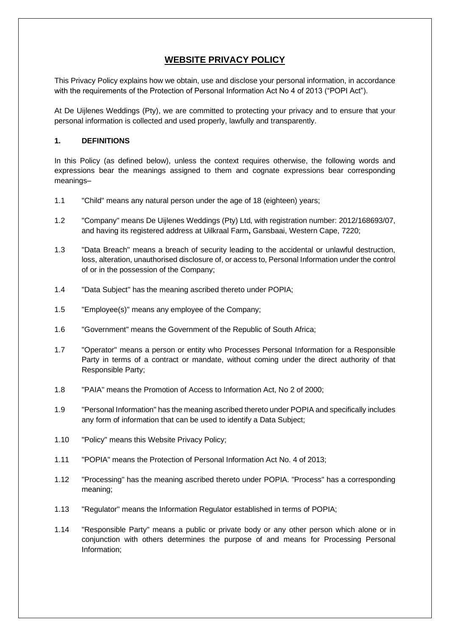# **WEBSITE PRIVACY POLICY**

This Privacy Policy explains how we obtain, use and disclose your personal information, in accordance with the requirements of the Protection of Personal Information Act No 4 of 2013 ("POPI Act").

At De Uijlenes Weddings (Pty), we are committed to protecting your privacy and to ensure that your personal information is collected and used properly, lawfully and transparently.

### **1. DEFINITIONS**

In this Policy (as defined below), unless the context requires otherwise, the following words and expressions bear the meanings assigned to them and cognate expressions bear corresponding meanings–

- 1.1 "Child" means any natural person under the age of 18 (eighteen) years;
- 1.2 "Company" means De Uijlenes Weddings (Pty) Ltd, with registration number: 2012/168693/07, and having its registered address at Uilkraal Farm**,** Gansbaai, Western Cape, 7220;
- 1.3 "Data Breach" means a breach of security leading to the accidental or unlawful destruction, loss, alteration, unauthorised disclosure of, or access to, Personal Information under the control of or in the possession of the Company;
- 1.4 "Data Subject" has the meaning ascribed thereto under POPIA;
- 1.5 "Employee(s)" means any employee of the Company;
- 1.6 "Government" means the Government of the Republic of South Africa;
- 1.7 "Operator" means a person or entity who Processes Personal Information for a Responsible Party in terms of a contract or mandate, without coming under the direct authority of that Responsible Party;
- 1.8 "PAIA" means the Promotion of Access to Information Act, No 2 of 2000;
- 1.9 "Personal Information" has the meaning ascribed thereto under POPIA and specifically includes any form of information that can be used to identify a Data Subject;
- 1.10 "Policy" means this Website Privacy Policy;
- 1.11 "POPIA" means the Protection of Personal Information Act No. 4 of 2013;
- 1.12 "Processing" has the meaning ascribed thereto under POPIA. "Process" has a corresponding meaning;
- 1.13 "Regulator" means the Information Regulator established in terms of POPIA;
- 1.14 "Responsible Party" means a public or private body or any other person which alone or in conjunction with others determines the purpose of and means for Processing Personal Information;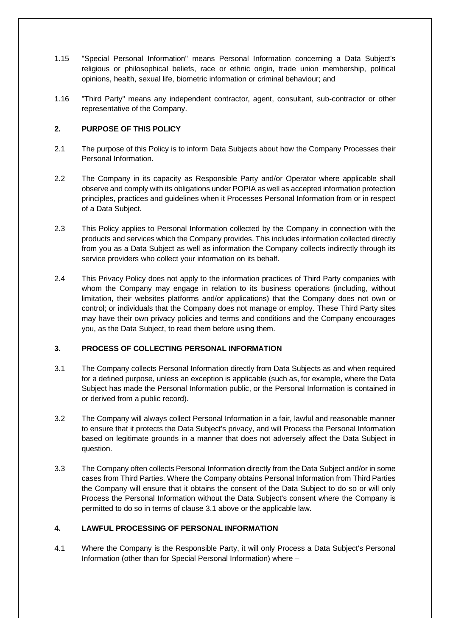- 1.15 "Special Personal Information" means Personal Information concerning a Data Subject's religious or philosophical beliefs, race or ethnic origin, trade union membership, political opinions, health, sexual life, biometric information or criminal behaviour; and
- 1.16 "Third Party" means any independent contractor, agent, consultant, sub-contractor or other representative of the Company.

# **2. PURPOSE OF THIS POLICY**

- 2.1 The purpose of this Policy is to inform Data Subjects about how the Company Processes their Personal Information.
- 2.2 The Company in its capacity as Responsible Party and/or Operator where applicable shall observe and comply with its obligations under POPIA as well as accepted information protection principles, practices and guidelines when it Processes Personal Information from or in respect of a Data Subject.
- 2.3 This Policy applies to Personal Information collected by the Company in connection with the products and services which the Company provides. This includes information collected directly from you as a Data Subject as well as information the Company collects indirectly through its service providers who collect your information on its behalf.
- 2.4 This Privacy Policy does not apply to the information practices of Third Party companies with whom the Company may engage in relation to its business operations (including, without limitation, their websites platforms and/or applications) that the Company does not own or control; or individuals that the Company does not manage or employ. These Third Party sites may have their own privacy policies and terms and conditions and the Company encourages you, as the Data Subject, to read them before using them.

#### **3. PROCESS OF COLLECTING PERSONAL INFORMATION**

- 3.1 The Company collects Personal Information directly from Data Subjects as and when required for a defined purpose, unless an exception is applicable (such as, for example, where the Data Subject has made the Personal Information public, or the Personal Information is contained in or derived from a public record).
- 3.2 The Company will always collect Personal Information in a fair, lawful and reasonable manner to ensure that it protects the Data Subject's privacy, and will Process the Personal Information based on legitimate grounds in a manner that does not adversely affect the Data Subject in question.
- 3.3 The Company often collects Personal Information directly from the Data Subject and/or in some cases from Third Parties. Where the Company obtains Personal Information from Third Parties the Company will ensure that it obtains the consent of the Data Subject to do so or will only Process the Personal Information without the Data Subject's consent where the Company is permitted to do so in terms of clause 3.1 above or the applicable law.

# **4. LAWFUL PROCESSING OF PERSONAL INFORMATION**

4.1 Where the Company is the Responsible Party, it will only Process a Data Subject's Personal Information (other than for Special Personal Information) where –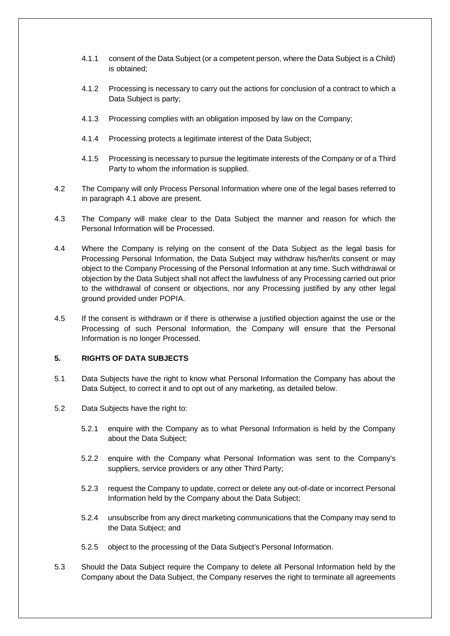- 4.1.1 consent of the Data Subject (or a competent person, where the Data Subject is a Child) is obtained;
- 4.1.2 Processing is necessary to carry out the actions for conclusion of a contract to which a Data Subject is party;
- 4.1.3 Processing complies with an obligation imposed by law on the Company;
- 4.1.4 Processing protects a legitimate interest of the Data Subject;
- 4.1.5 Processing is necessary to pursue the legitimate interests of the Company or of a Third Party to whom the information is supplied.
- 4.2 The Company will only Process Personal Information where one of the legal bases referred to in paragraph 4.1 above are present.
- 4.3 The Company will make clear to the Data Subject the manner and reason for which the Personal Information will be Processed.
- 4.4 Where the Company is relying on the consent of the Data Subject as the legal basis for Processing Personal Information, the Data Subject may withdraw his/her/its consent or may object to the Company Processing of the Personal Information at any time. Such withdrawal or objection by the Data Subject shall not affect the lawfulness of any Processing carried out prior to the withdrawal of consent or objections, nor any Processing justified by any other legal ground provided under POPIA.
- 4.5 If the consent is withdrawn or if there is otherwise a justified objection against the use or the Processing of such Personal Information, the Company will ensure that the Personal Information is no longer Processed.

#### **5. RIGHTS OF DATA SUBJECTS**

- 5.1 Data Subjects have the right to know what Personal Information the Company has about the Data Subject, to correct it and to opt out of any marketing, as detailed below.
- 5.2 Data Subjects have the right to:
	- 5.2.1 enquire with the Company as to what Personal Information is held by the Company about the Data Subject;
	- 5.2.2 enquire with the Company what Personal Information was sent to the Company's suppliers, service providers or any other Third Party;
	- 5.2.3 request the Company to update, correct or delete any out-of-date or incorrect Personal Information held by the Company about the Data Subject;
	- 5.2.4 unsubscribe from any direct marketing communications that the Company may send to the Data Subject; and
	- 5.2.5 object to the processing of the Data Subject's Personal Information.
- 5.3 Should the Data Subject require the Company to delete all Personal Information held by the Company about the Data Subject, the Company reserves the right to terminate all agreements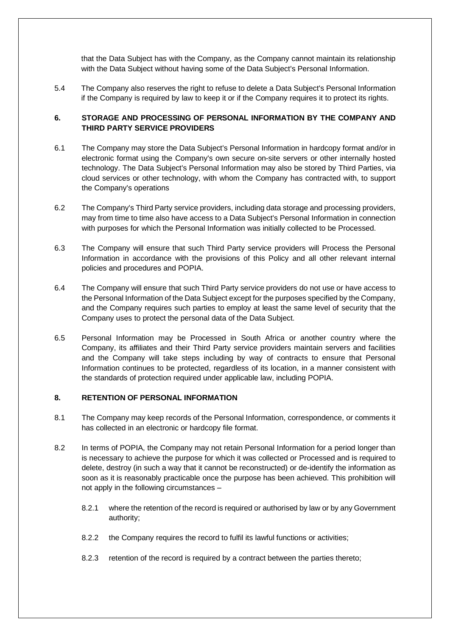that the Data Subject has with the Company, as the Company cannot maintain its relationship with the Data Subject without having some of the Data Subject's Personal Information.

5.4 The Company also reserves the right to refuse to delete a Data Subject's Personal Information if the Company is required by law to keep it or if the Company requires it to protect its rights.

# **6. STORAGE AND PROCESSING OF PERSONAL INFORMATION BY THE COMPANY AND THIRD PARTY SERVICE PROVIDERS**

- 6.1 The Company may store the Data Subject's Personal Information in hardcopy format and/or in electronic format using the Company's own secure on-site servers or other internally hosted technology. The Data Subject's Personal Information may also be stored by Third Parties, via cloud services or other technology, with whom the Company has contracted with, to support the Company's operations
- 6.2 The Company's Third Party service providers, including data storage and processing providers, may from time to time also have access to a Data Subject's Personal Information in connection with purposes for which the Personal Information was initially collected to be Processed.
- 6.3 The Company will ensure that such Third Party service providers will Process the Personal Information in accordance with the provisions of this Policy and all other relevant internal policies and procedures and POPIA.
- 6.4 The Company will ensure that such Third Party service providers do not use or have access to the Personal Information of the Data Subject except for the purposes specified by the Company, and the Company requires such parties to employ at least the same level of security that the Company uses to protect the personal data of the Data Subject.
- 6.5 Personal Information may be Processed in South Africa or another country where the Company, its affiliates and their Third Party service providers maintain servers and facilities and the Company will take steps including by way of contracts to ensure that Personal Information continues to be protected, regardless of its location, in a manner consistent with the standards of protection required under applicable law, including POPIA.

### **8. RETENTION OF PERSONAL INFORMATION**

- 8.1 The Company may keep records of the Personal Information, correspondence, or comments it has collected in an electronic or hardcopy file format.
- 8.2 In terms of POPIA, the Company may not retain Personal Information for a period longer than is necessary to achieve the purpose for which it was collected or Processed and is required to delete, destroy (in such a way that it cannot be reconstructed) or de-identify the information as soon as it is reasonably practicable once the purpose has been achieved. This prohibition will not apply in the following circumstances –
	- 8.2.1 where the retention of the record is required or authorised by law or by any Government authority;
	- 8.2.2 the Company requires the record to fulfil its lawful functions or activities;
	- 8.2.3 retention of the record is required by a contract between the parties thereto;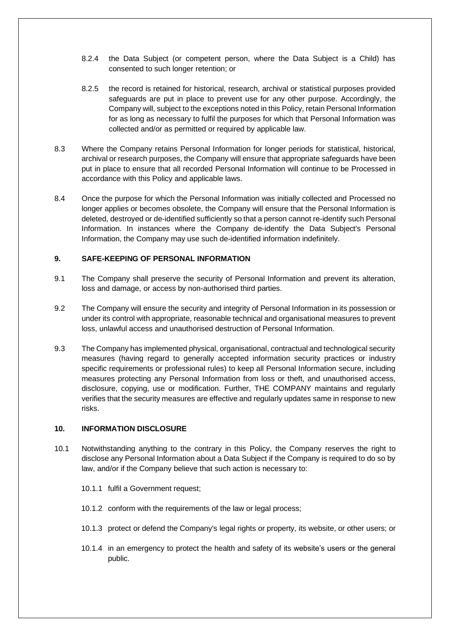- 8.2.4 the Data Subject (or competent person, where the Data Subject is a Child) has consented to such longer retention; or
- 8.2.5 the record is retained for historical, research, archival or statistical purposes provided safeguards are put in place to prevent use for any other purpose. Accordingly, the Company will, subject to the exceptions noted in this Policy, retain Personal Information for as long as necessary to fulfil the purposes for which that Personal Information was collected and/or as permitted or required by applicable law.
- 8.3 Where the Company retains Personal Information for longer periods for statistical, historical, archival or research purposes, the Company will ensure that appropriate safeguards have been put in place to ensure that all recorded Personal Information will continue to be Processed in accordance with this Policy and applicable laws.
- 8.4 Once the purpose for which the Personal Information was initially collected and Processed no longer applies or becomes obsolete, the Company will ensure that the Personal Information is deleted, destroyed or de-identified sufficiently so that a person cannot re-identify such Personal Information. In instances where the Company de-identify the Data Subject's Personal Information, the Company may use such de-identified information indefinitely.

#### **9. SAFE-KEEPING OF PERSONAL INFORMATION**

- 9.1 The Company shall preserve the security of Personal Information and prevent its alteration, loss and damage, or access by non-authorised third parties.
- 9.2 The Company will ensure the security and integrity of Personal Information in its possession or under its control with appropriate, reasonable technical and organisational measures to prevent loss, unlawful access and unauthorised destruction of Personal Information.
- 9.3 The Company has implemented physical, organisational, contractual and technological security measures (having regard to generally accepted information security practices or industry specific requirements or professional rules) to keep all Personal Information secure, including measures protecting any Personal Information from loss or theft, and unauthorised access, disclosure, copying, use or modification. Further, THE COMPANY maintains and regularly verifies that the security measures are effective and regularly updates same in response to new risks.

#### 10. **INFORMATION DISCLOSURE**

- 10.1 Notwithstanding anything to the contrary in this Policy, the Company reserves the right to disclose any Personal Information about a Data Subject if the Company is required to do so by law, and/or if the Company believe that such action is necessary to:
	- 10.1.1 fulfil a Government request;
	- 10.1.2 conform with the requirements of the law or legal process;
	- 10.1.3 protect or defend the Company's legal rights or property, its website, or other users; or
	- 10.1.4 in an emergency to protect the health and safety of its website's users or the general public.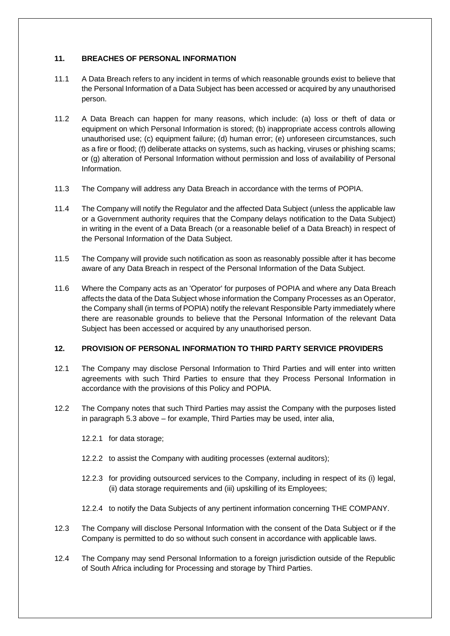## **11. BREACHES OF PERSONAL INFORMATION**

- 11.1 A Data Breach refers to any incident in terms of which reasonable grounds exist to believe that the Personal Information of a Data Subject has been accessed or acquired by any unauthorised person.
- 11.2 A Data Breach can happen for many reasons, which include: (a) loss or theft of data or equipment on which Personal Information is stored; (b) inappropriate access controls allowing unauthorised use; (c) equipment failure; (d) human error; (e) unforeseen circumstances, such as a fire or flood; (f) deliberate attacks on systems, such as hacking, viruses or phishing scams; or (g) alteration of Personal Information without permission and loss of availability of Personal Information.
- 11.3 The Company will address any Data Breach in accordance with the terms of POPIA.
- 11.4 The Company will notify the Regulator and the affected Data Subject (unless the applicable law or a Government authority requires that the Company delays notification to the Data Subject) in writing in the event of a Data Breach (or a reasonable belief of a Data Breach) in respect of the Personal Information of the Data Subject.
- 11.5 The Company will provide such notification as soon as reasonably possible after it has become aware of any Data Breach in respect of the Personal Information of the Data Subject.
- 11.6 Where the Company acts as an 'Operator' for purposes of POPIA and where any Data Breach affects the data of the Data Subject whose information the Company Processes as an Operator, the Company shall (in terms of POPIA) notify the relevant Responsible Party immediately where there are reasonable grounds to believe that the Personal Information of the relevant Data Subject has been accessed or acquired by any unauthorised person.

#### **12. PROVISION OF PERSONAL INFORMATION TO THIRD PARTY SERVICE PROVIDERS**

- 12.1 The Company may disclose Personal Information to Third Parties and will enter into written agreements with such Third Parties to ensure that they Process Personal Information in accordance with the provisions of this Policy and POPIA.
- 12.2 The Company notes that such Third Parties may assist the Company with the purposes listed in paragraph 5.3 above – for example, Third Parties may be used, inter alia,
	- 12.2.1 for data storage;
	- 12.2.2 to assist the Company with auditing processes (external auditors);
	- 12.2.3 for providing outsourced services to the Company, including in respect of its (i) legal, (ii) data storage requirements and (iii) upskilling of its Employees;
	- 12.2.4 to notify the Data Subjects of any pertinent information concerning THE COMPANY.
- 12.3 The Company will disclose Personal Information with the consent of the Data Subject or if the Company is permitted to do so without such consent in accordance with applicable laws.
- 12.4 The Company may send Personal Information to a foreign jurisdiction outside of the Republic of South Africa including for Processing and storage by Third Parties.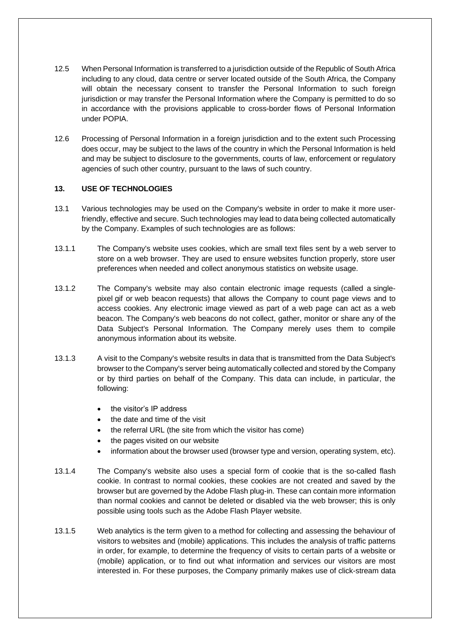- 12.5 When Personal Information is transferred to a jurisdiction outside of the Republic of South Africa including to any cloud, data centre or server located outside of the South Africa, the Company will obtain the necessary consent to transfer the Personal Information to such foreign jurisdiction or may transfer the Personal Information where the Company is permitted to do so in accordance with the provisions applicable to cross-border flows of Personal Information under POPIA.
- 12.6 Processing of Personal Information in a foreign jurisdiction and to the extent such Processing does occur, may be subject to the laws of the country in which the Personal Information is held and may be subject to disclosure to the governments, courts of law, enforcement or regulatory agencies of such other country, pursuant to the laws of such country.

#### **13. USE OF TECHNOLOGIES**

- 13.1 Various technologies may be used on the Company's website in order to make it more userfriendly, effective and secure. Such technologies may lead to data being collected automatically by the Company. Examples of such technologies are as follows:
- 13.1.1 The Company's website uses cookies, which are small text files sent by a web server to store on a web browser. They are used to ensure websites function properly, store user preferences when needed and collect anonymous statistics on website usage.
- 13.1.2 The Company's website may also contain electronic image requests (called a singlepixel gif or web beacon requests) that allows the Company to count page views and to access cookies. Any electronic image viewed as part of a web page can act as a web beacon. The Company's web beacons do not collect, gather, monitor or share any of the Data Subject's Personal Information. The Company merely uses them to compile anonymous information about its website.
- 13.1.3 A visit to the Company's website results in data that is transmitted from the Data Subject's browser to the Company's server being automatically collected and stored by the Company or by third parties on behalf of the Company. This data can include, in particular, the following:
	- the visitor's IP address
	- the date and time of the visit
	- the referral URL (the site from which the visitor has come)
	- the pages visited on our website
	- information about the browser used (browser type and version, operating system, etc).
- 13.1.4 The Company's website also uses a special form of cookie that is the so-called flash cookie. In contrast to normal cookies, these cookies are not created and saved by the browser but are governed by the Adobe Flash plug-in. These can contain more information than normal cookies and cannot be deleted or disabled via the web browser; this is only possible using tools such as the Adobe Flash Player website.
- 13.1.5 Web analytics is the term given to a method for collecting and assessing the behaviour of visitors to websites and (mobile) applications. This includes the analysis of traffic patterns in order, for example, to determine the frequency of visits to certain parts of a website or (mobile) application, or to find out what information and services our visitors are most interested in. For these purposes, the Company primarily makes use of click-stream data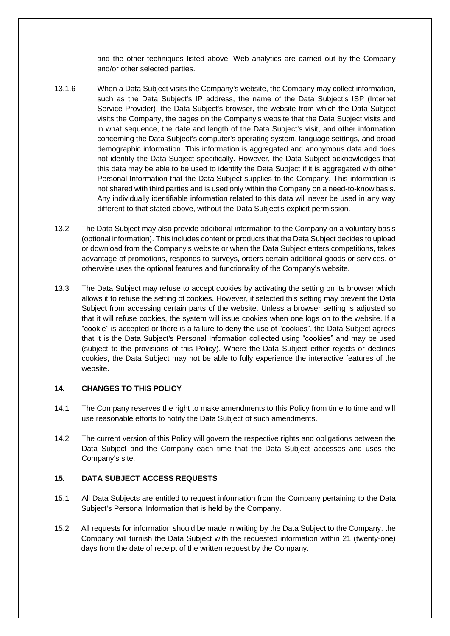and the other techniques listed above. Web analytics are carried out by the Company and/or other selected parties.

- 13.1.6 When a Data Subject visits the Company's website, the Company may collect information, such as the Data Subject's IP address, the name of the Data Subject's ISP (Internet Service Provider), the Data Subject's browser, the website from which the Data Subject visits the Company, the pages on the Company's website that the Data Subject visits and in what sequence, the date and length of the Data Subject's visit, and other information concerning the Data Subject's computer's operating system, language settings, and broad demographic information. This information is aggregated and anonymous data and does not identify the Data Subject specifically. However, the Data Subject acknowledges that this data may be able to be used to identify the Data Subject if it is aggregated with other Personal Information that the Data Subject supplies to the Company. This information is not shared with third parties and is used only within the Company on a need-to-know basis. Any individually identifiable information related to this data will never be used in any way different to that stated above, without the Data Subject's explicit permission.
- 13.2 The Data Subject may also provide additional information to the Company on a voluntary basis (optional information). This includes content or products that the Data Subject decides to upload or download from the Company's website or when the Data Subject enters competitions, takes advantage of promotions, responds to surveys, orders certain additional goods or services, or otherwise uses the optional features and functionality of the Company's website.
- 13.3 The Data Subject may refuse to accept cookies by activating the setting on its browser which allows it to refuse the setting of cookies. However, if selected this setting may prevent the Data Subject from accessing certain parts of the website. Unless a browser setting is adjusted so that it will refuse cookies, the system will issue cookies when one logs on to the website. If a "cookie" is accepted or there is a failure to deny the use of "cookies", the Data Subject agrees that it is the Data Subject's Personal Information collected using "cookies" and may be used (subject to the provisions of this Policy). Where the Data Subject either rejects or declines cookies, the Data Subject may not be able to fully experience the interactive features of the website.

#### **14. CHANGES TO THIS POLICY**

- 14.1 The Company reserves the right to make amendments to this Policy from time to time and will use reasonable efforts to notify the Data Subject of such amendments.
- 14.2 The current version of this Policy will govern the respective rights and obligations between the Data Subject and the Company each time that the Data Subject accesses and uses the Company's site.

#### **15. DATA SUBJECT ACCESS REQUESTS**

- 15.1 All Data Subjects are entitled to request information from the Company pertaining to the Data Subject's Personal Information that is held by the Company.
- 15.2 All requests for information should be made in writing by the Data Subject to the Company. the Company will furnish the Data Subject with the requested information within 21 (twenty-one) days from the date of receipt of the written request by the Company.